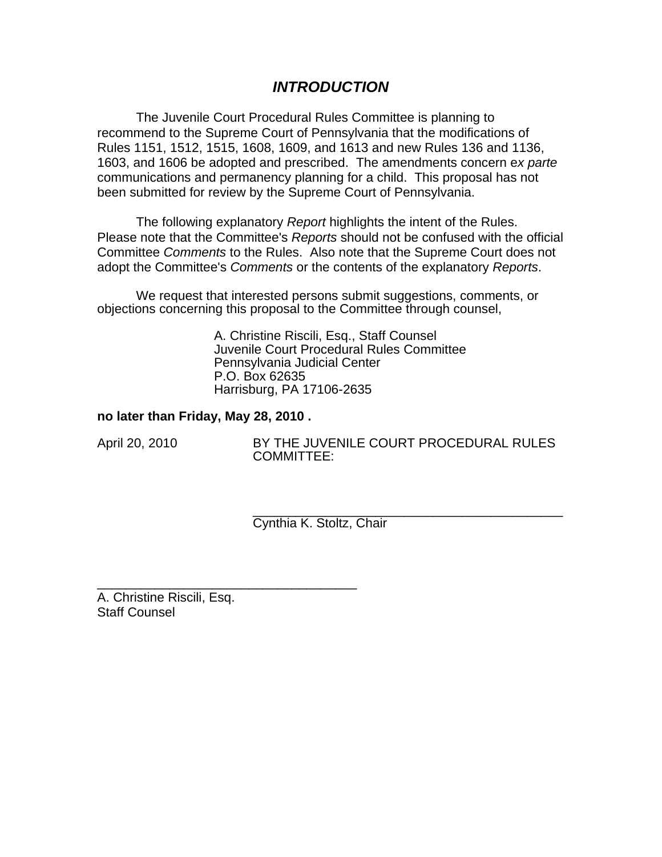# *INTRODUCTION*

The Juvenile Court Procedural Rules Committee is planning to recommend to the Supreme Court of Pennsylvania that the modifications of Rules 1151, 1512, 1515, 1608, 1609, and 1613 and new Rules 136 and 1136, 1603, and 1606 be adopted and prescribed. The amendments concern e*x parte*  communications and permanency planning for a child. This proposal has not been submitted for review by the Supreme Court of Pennsylvania.

The following explanatory *Report* highlights the intent of the Rules. Please note that the Committee's *Reports* should not be confused with the official Committee *Comments* to the Rules. Also note that the Supreme Court does not adopt the Committee's *Comments* or the contents of the explanatory *Reports*.

We request that interested persons submit suggestions, comments, or objections concerning this proposal to the Committee through counsel,

> A. Christine Riscili, Esq., Staff Counsel Juvenile Court Procedural Rules Committee Pennsylvania Judicial Center P.O. Box 62635 Harrisburg, PA 17106-2635

#### **no later than Friday, May 28, 2010 .**

\_\_\_\_\_\_\_\_\_\_\_\_\_\_\_\_\_\_\_\_\_\_\_\_\_\_\_\_\_\_\_\_\_\_\_\_

April 20, 2010 BY THE JUVENILE COURT PROCEDURAL RULES COMMITTEE:

> \_\_\_\_\_\_\_\_\_\_\_\_\_\_\_\_\_\_\_\_\_\_\_\_\_\_\_\_\_\_\_\_\_\_\_\_\_\_\_\_\_\_\_ Cynthia K. Stoltz, Chair

A. Christine Riscili, Esq. Staff Counsel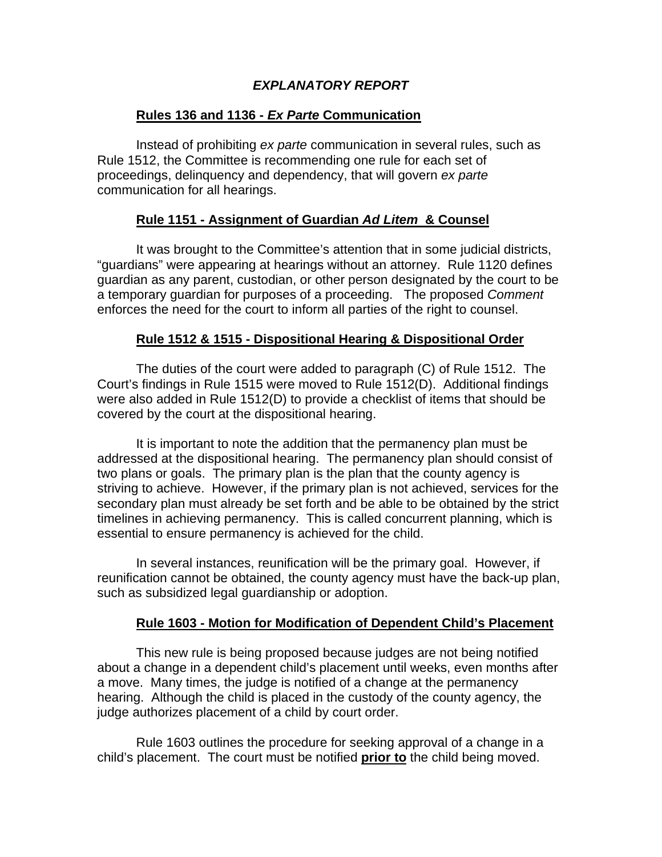# *EXPLANATORY REPORT*

# **Rules 136 and 1136 -** *Ex Parte* **Communication**

Instead of prohibiting *ex parte* communication in several rules, such as Rule 1512, the Committee is recommending one rule for each set of proceedings, delinquency and dependency, that will govern *ex parte*  communication for all hearings.

# **Rule 1151 - Assignment of Guardian** *Ad Litem* **& Counsel**

It was brought to the Committee's attention that in some judicial districts, "guardians" were appearing at hearings without an attorney. Rule 1120 defines guardian as any parent, custodian, or other person designated by the court to be a temporary guardian for purposes of a proceeding. The proposed *Comment*  enforces the need for the court to inform all parties of the right to counsel.

# **Rule 1512 & 1515 - Dispositional Hearing & Dispositional Order**

The duties of the court were added to paragraph (C) of Rule 1512. The Court's findings in Rule 1515 were moved to Rule 1512(D). Additional findings were also added in Rule 1512(D) to provide a checklist of items that should be covered by the court at the dispositional hearing.

It is important to note the addition that the permanency plan must be addressed at the dispositional hearing. The permanency plan should consist of two plans or goals. The primary plan is the plan that the county agency is striving to achieve. However, if the primary plan is not achieved, services for the secondary plan must already be set forth and be able to be obtained by the strict timelines in achieving permanency. This is called concurrent planning, which is essential to ensure permanency is achieved for the child.

In several instances, reunification will be the primary goal. However, if reunification cannot be obtained, the county agency must have the back-up plan, such as subsidized legal guardianship or adoption.

# **Rule 1603 - Motion for Modification of Dependent Child's Placement**

This new rule is being proposed because judges are not being notified about a change in a dependent child's placement until weeks, even months after a move. Many times, the judge is notified of a change at the permanency hearing. Although the child is placed in the custody of the county agency, the judge authorizes placement of a child by court order.

Rule 1603 outlines the procedure for seeking approval of a change in a child's placement. The court must be notified **prior to** the child being moved.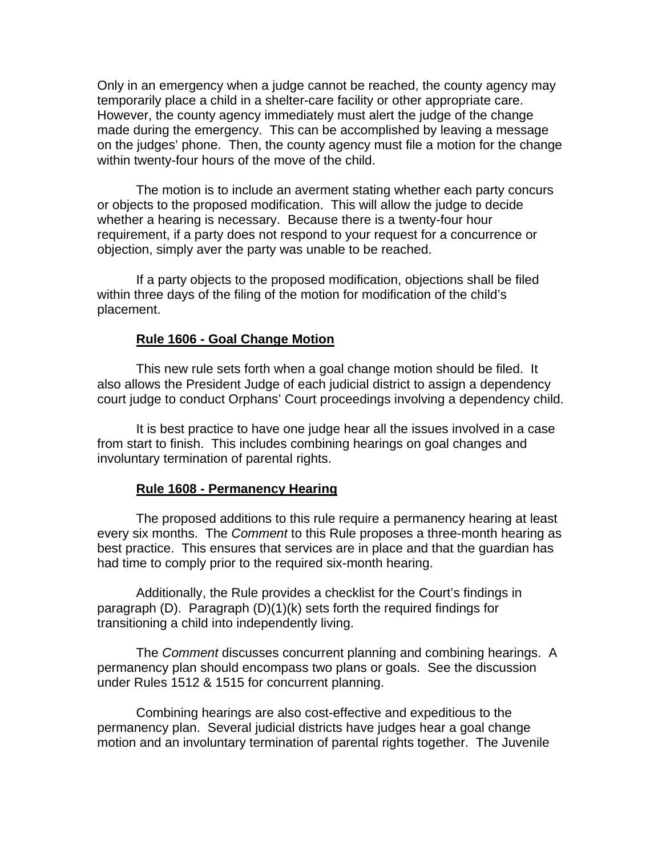Only in an emergency when a judge cannot be reached, the county agency may temporarily place a child in a shelter-care facility or other appropriate care. However, the county agency immediately must alert the judge of the change made during the emergency. This can be accomplished by leaving a message on the judges' phone. Then, the county agency must file a motion for the change within twenty-four hours of the move of the child.

The motion is to include an averment stating whether each party concurs or objects to the proposed modification. This will allow the judge to decide whether a hearing is necessary. Because there is a twenty-four hour requirement, if a party does not respond to your request for a concurrence or objection, simply aver the party was unable to be reached.

If a party objects to the proposed modification, objections shall be filed within three days of the filing of the motion for modification of the child's placement.

#### **Rule 1606 - Goal Change Motion**

This new rule sets forth when a goal change motion should be filed. It also allows the President Judge of each judicial district to assign a dependency court judge to conduct Orphans' Court proceedings involving a dependency child.

It is best practice to have one judge hear all the issues involved in a case from start to finish. This includes combining hearings on goal changes and involuntary termination of parental rights.

#### **Rule 1608 - Permanency Hearing**

The proposed additions to this rule require a permanency hearing at least every six months. The *Comment* to this Rule proposes a three-month hearing as best practice. This ensures that services are in place and that the guardian has had time to comply prior to the required six-month hearing.

Additionally, the Rule provides a checklist for the Court's findings in paragraph (D). Paragraph (D)(1)(k) sets forth the required findings for transitioning a child into independently living.

The *Comment* discusses concurrent planning and combining hearings. A permanency plan should encompass two plans or goals. See the discussion under Rules 1512 & 1515 for concurrent planning.

Combining hearings are also cost-effective and expeditious to the permanency plan. Several judicial districts have judges hear a goal change motion and an involuntary termination of parental rights together. The Juvenile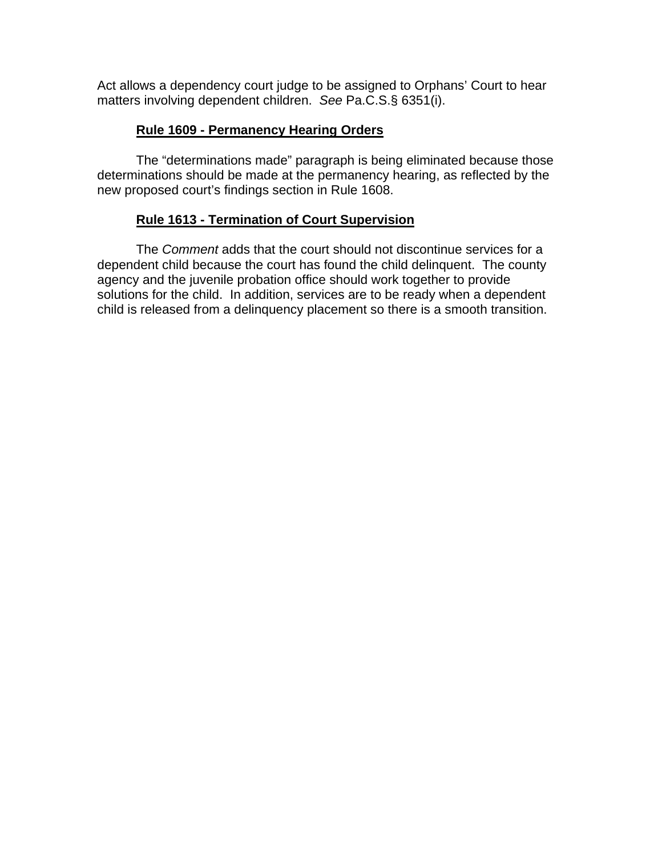Act allows a dependency court judge to be assigned to Orphans' Court to hear matters involving dependent children. *See* Pa.C.S.§ 6351(i).

# **Rule 1609 - Permanency Hearing Orders**

The "determinations made" paragraph is being eliminated because those determinations should be made at the permanency hearing, as reflected by the new proposed court's findings section in Rule 1608.

# **Rule 1613 - Termination of Court Supervision**

The *Comment* adds that the court should not discontinue services for a dependent child because the court has found the child delinquent. The county agency and the juvenile probation office should work together to provide solutions for the child. In addition, services are to be ready when a dependent child is released from a delinquency placement so there is a smooth transition.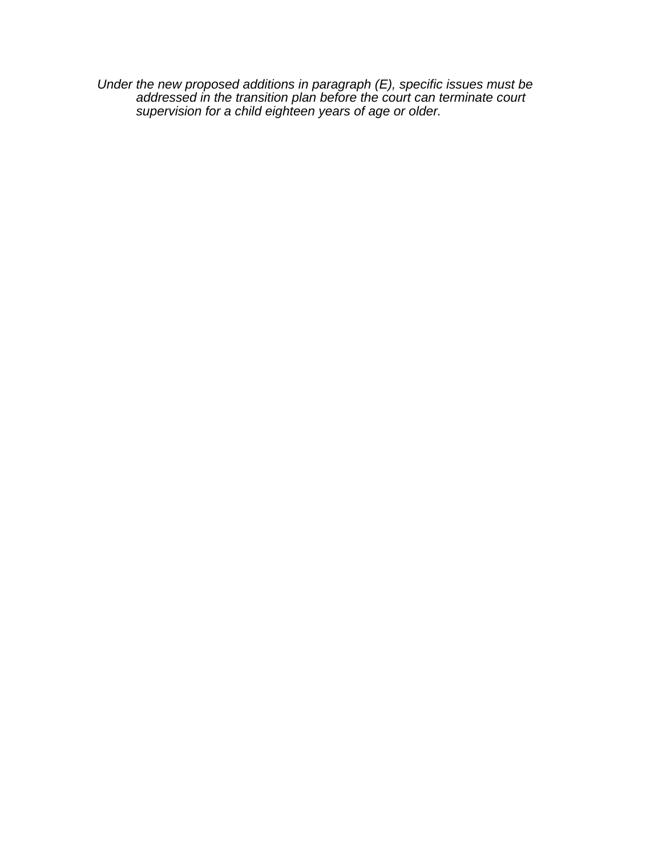*Under the new proposed additions in paragraph (E), specific issues must be addressed in the transition plan before the court can terminate court supervision for a child eighteen years of age or older.*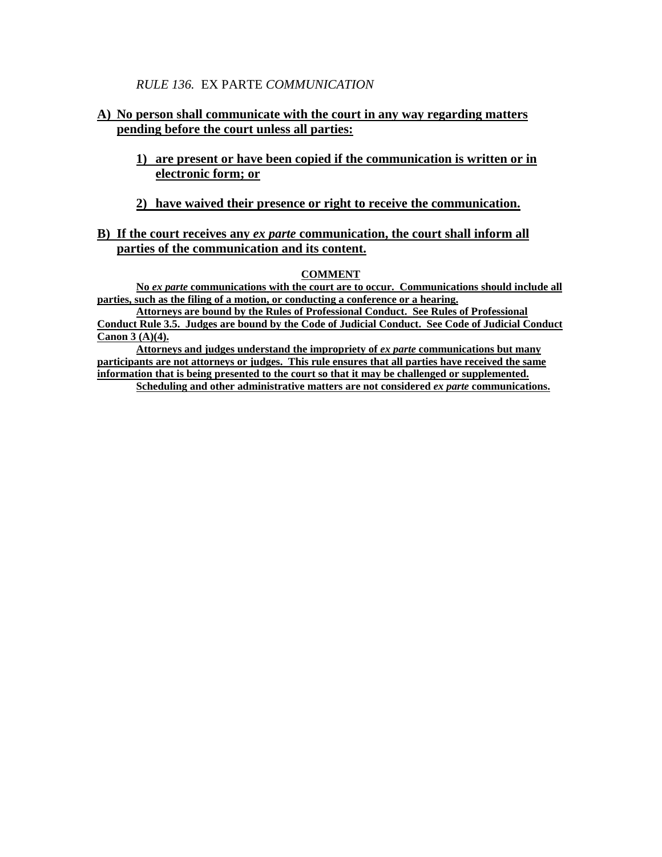#### *RULE 136.* EX PARTE *COMMUNICATION*

## **A) No person shall communicate with the court in any way regarding matters pending before the court unless all parties:**

- **1) are present or have been copied if the communication is written or in electronic form; or**
- **2) have waived their presence or right to receive the communication.**

#### **B) If the court receives any** *ex parte* **communication, the court shall inform all parties of the communication and its content.**

#### **COMMENT**

**No** *ex parte* **communications with the court are to occur. Communications should include all parties, such as the filing of a motion, or conducting a conference or a hearing.** 

**Attorneys are bound by the Rules of Professional Conduct. See Rules of Professional Conduct Rule 3.5. Judges are bound by the Code of Judicial Conduct. See Code of Judicial Conduct Canon 3 (A)(4).** 

**Attorneys and judges understand the impropriety of** *ex parte* **communications but many participants are not attorneys or judges. This rule ensures that all parties have received the same information that is being presented to the court so that it may be challenged or supplemented.** 

**Scheduling and other administrative matters are not considered** *ex parte* **communications.**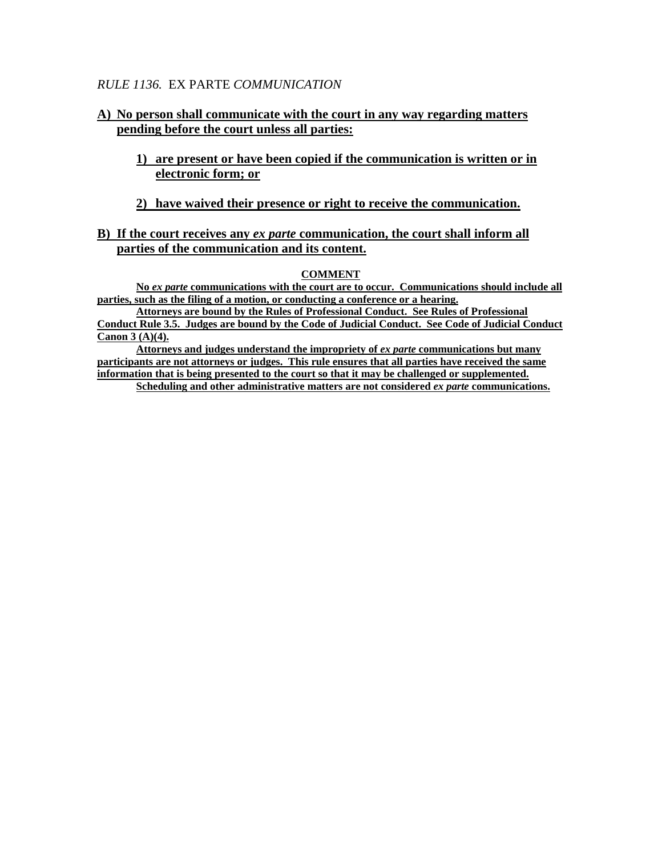#### *RULE 1136.* EX PARTE *COMMUNICATION*

## **A) No person shall communicate with the court in any way regarding matters pending before the court unless all parties:**

- **1) are present or have been copied if the communication is written or in electronic form; or**
- **2) have waived their presence or right to receive the communication.**

#### **B) If the court receives any** *ex parte* **communication, the court shall inform all parties of the communication and its content.**

#### **COMMENT**

**No** *ex parte* **communications with the court are to occur. Communications should include all parties, such as the filing of a motion, or conducting a conference or a hearing.** 

**Attorneys are bound by the Rules of Professional Conduct. See Rules of Professional Conduct Rule 3.5. Judges are bound by the Code of Judicial Conduct. See Code of Judicial Conduct Canon 3 (A)(4).** 

**Attorneys and judges understand the impropriety of** *ex parte* **communications but many participants are not attorneys or judges. This rule ensures that all parties have received the same information that is being presented to the court so that it may be challenged or supplemented.** 

**Scheduling and other administrative matters are not considered** *ex parte* **communications.**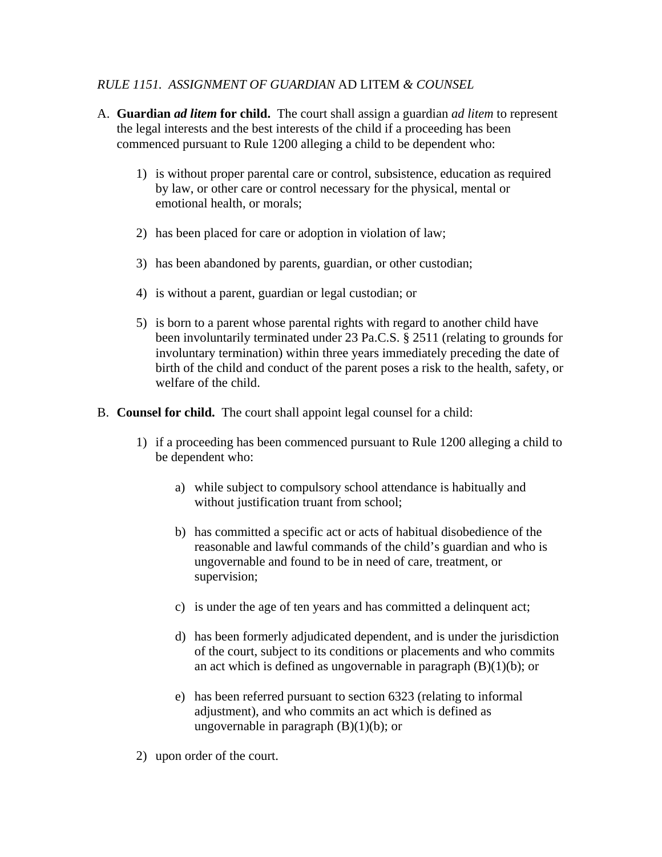# *RULE 1151. ASSIGNMENT OF GUARDIAN* AD LITEM *& COUNSEL*

- A. **Guardian** *ad litem* **for child.** The court shall assign a guardian *ad litem* to represent the legal interests and the best interests of the child if a proceeding has been commenced pursuant to Rule 1200 alleging a child to be dependent who:
	- 1) is without proper parental care or control, subsistence, education as required by law, or other care or control necessary for the physical, mental or emotional health, or morals;
	- 2) has been placed for care or adoption in violation of law;
	- 3) has been abandoned by parents, guardian, or other custodian;
	- 4) is without a parent, guardian or legal custodian; or
	- 5) is born to a parent whose parental rights with regard to another child have been involuntarily terminated under 23 Pa.C.S. § 2511 (relating to grounds for involuntary termination) within three years immediately preceding the date of birth of the child and conduct of the parent poses a risk to the health, safety, or welfare of the child.
- B. **Counsel for child.** The court shall appoint legal counsel for a child:
	- 1) if a proceeding has been commenced pursuant to Rule 1200 alleging a child to be dependent who:
		- a) while subject to compulsory school attendance is habitually and without justification truant from school;
		- b) has committed a specific act or acts of habitual disobedience of the reasonable and lawful commands of the child's guardian and who is ungovernable and found to be in need of care, treatment, or supervision;
		- c) is under the age of ten years and has committed a delinquent act;
		- d) has been formerly adjudicated dependent, and is under the jurisdiction of the court, subject to its conditions or placements and who commits an act which is defined as ungovernable in paragraph  $(B)(1)(b)$ ; or
		- e) has been referred pursuant to section 6323 (relating to informal adjustment), and who commits an act which is defined as ungovernable in paragraph  $(B)(1)(b)$ ; or
	- 2) upon order of the court.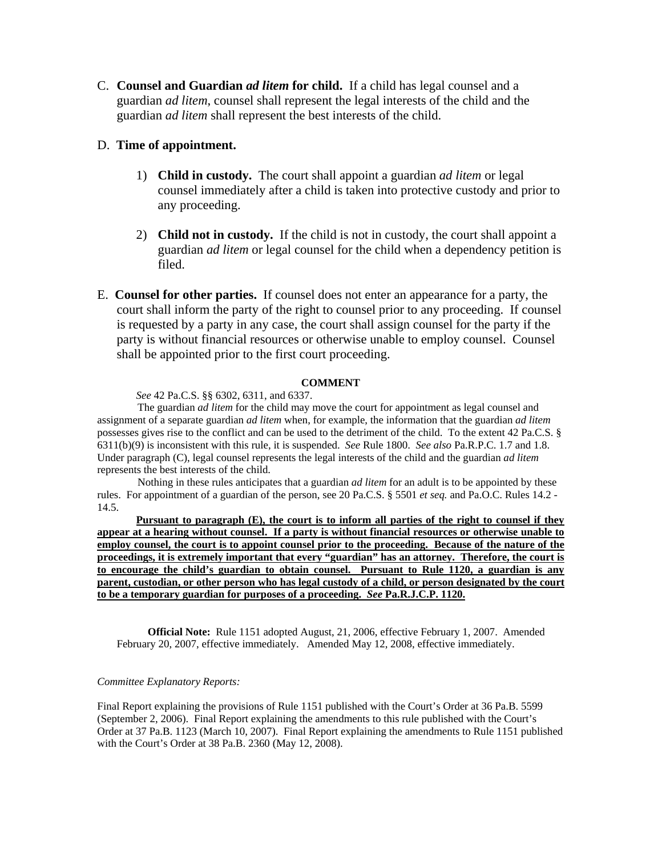C. **Counsel and Guardian** *ad litem* **for child.** If a child has legal counsel and a guardian *ad litem*, counsel shall represent the legal interests of the child and the guardian *ad litem* shall represent the best interests of the child.

#### D. **Time of appointment.**

- 1) **Child in custody.** The court shall appoint a guardian *ad litem* or legal counsel immediately after a child is taken into protective custody and prior to any proceeding.
- 2) **Child not in custody.** If the child is not in custody, the court shall appoint a guardian *ad litem* or legal counsel for the child when a dependency petition is filed.
- E. **Counsel for other parties.** If counsel does not enter an appearance for a party, the court shall inform the party of the right to counsel prior to any proceeding. If counsel is requested by a party in any case, the court shall assign counsel for the party if the party is without financial resources or otherwise unable to employ counsel. Counsel shall be appointed prior to the first court proceeding.

#### **COMMENT**

*See* 42 Pa.C.S. §§ 6302, 6311, and 6337.

The guardian *ad litem* for the child may move the court for appointment as legal counsel and assignment of a separate guardian *ad litem* when, for example, the information that the guardian *ad litem* possesses gives rise to the conflict and can be used to the detriment of the child. To the extent 42 Pa.C.S. § 6311(b)(9) is inconsistent with this rule, it is suspended. *See* Rule 1800. *See also* Pa.R.P.C. 1.7 and 1.8. Under paragraph (C), legal counsel represents the legal interests of the child and the guardian *ad litem* represents the best interests of the child.

Nothing in these rules anticipates that a guardian *ad litem* for an adult is to be appointed by these rules. For appointment of a guardian of the person, see 20 Pa.C.S. § 5501 *et seq.* and Pa.O.C. Rules 14.2 - 14.5.

**Pursuant to paragraph (E), the court is to inform all parties of the right to counsel if they appear at a hearing without counsel. If a party is without financial resources or otherwise unable to employ counsel, the court is to appoint counsel prior to the proceeding. Because of the nature of the proceedings, it is extremely important that every "guardian" has an attorney. Therefore, the court is to encourage the child's guardian to obtain counsel. Pursuant to Rule 1120, a guardian is any parent, custodian, or other person who has legal custody of a child, or person designated by the court to be a temporary guardian for purposes of a proceeding.** *See* **Pa.R.J.C.P. 1120.**

**Official Note:** Rule 1151 adopted August, 21, 2006, effective February 1, 2007. Amended February 20, 2007, effective immediately. Amended May 12, 2008, effective immediately.

#### *Committee Explanatory Reports:*

Final Report explaining the provisions of Rule 1151 published with the Court's Order at 36 Pa.B. 5599 (September 2, 2006). Final Report explaining the amendments to this rule published with the Court's Order at 37 Pa.B. 1123 (March 10, 2007). Final Report explaining the amendments to Rule 1151 published with the Court's Order at 38 Pa.B. 2360 (May 12, 2008).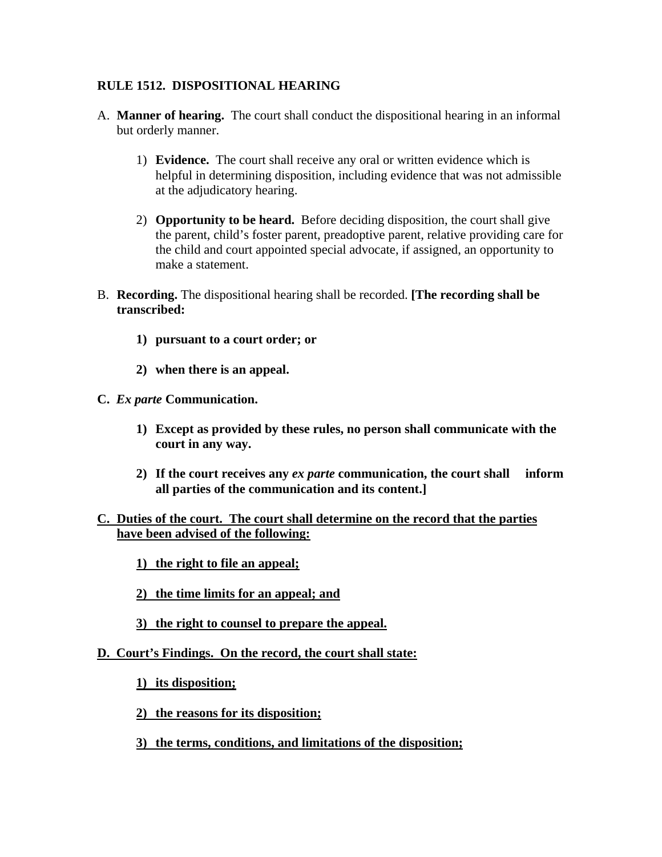# **RULE 1512. DISPOSITIONAL HEARING**

- A. **Manner of hearing.** The court shall conduct the dispositional hearing in an informal but orderly manner.
	- 1) **Evidence.** The court shall receive any oral or written evidence which is helpful in determining disposition, including evidence that was not admissible at the adjudicatory hearing.
	- 2) **Opportunity to be heard.** Before deciding disposition, the court shall give the parent, child's foster parent, preadoptive parent, relative providing care for the child and court appointed special advocate, if assigned, an opportunity to make a statement.
- B. **Recording.** The dispositional hearing shall be recorded. **[The recording shall be transcribed:** 
	- **1) pursuant to a court order; or**
	- **2) when there is an appeal.**
- **C.** *Ex parte* **Communication.** 
	- **1) Except as provided by these rules, no person shall communicate with the court in any way.**
	- **2) If the court receives any** *ex parte* **communication, the court shall inform all parties of the communication and its content.]**

# **C. Duties of the court. The court shall determine on the record that the parties have been advised of the following:**

- **1) the right to file an appeal;**
- **2) the time limits for an appeal; and**
- **3) the right to counsel to prepare the appeal.**

#### **D. Court's Findings. On the record, the court shall state:**

- **1) its disposition;**
- **2) the reasons for its disposition;**
- **3) the terms, conditions, and limitations of the disposition;**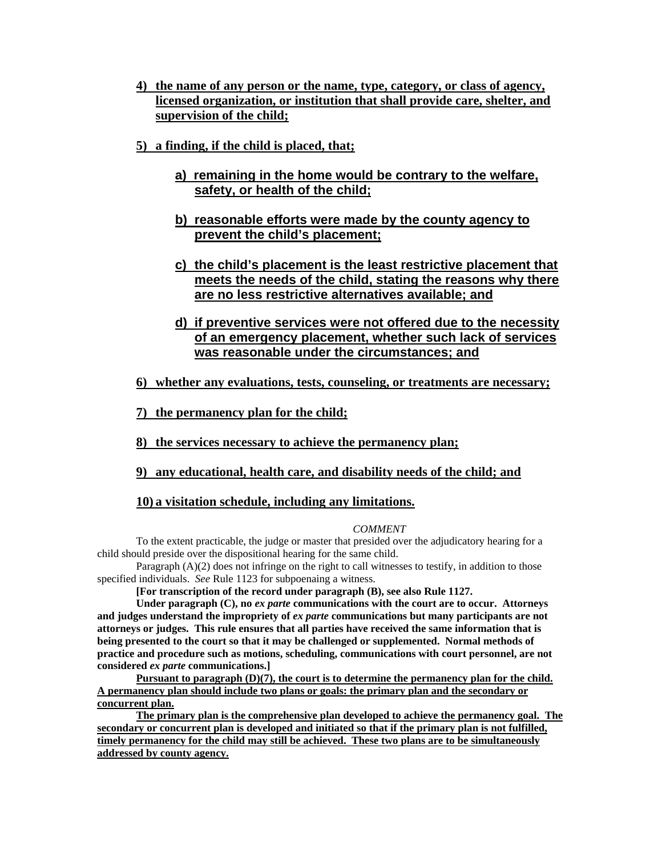- **4) the name of any person or the name, type, category, or class of agency, licensed organization, or institution that shall provide care, shelter, and supervision of the child;**
- **5) a finding, if the child is placed, that;**
	- **a) remaining in the home would be contrary to the welfare, safety, or health of the child;**
	- **b) reasonable efforts were made by the county agency to prevent the child's placement;**
	- **c) the child's placement is the least restrictive placement that meets the needs of the child, stating the reasons why there are no less restrictive alternatives available; and**
	- **d) if preventive services were not offered due to the necessity of an emergency placement, whether such lack of services was reasonable under the circumstances; and**
- **6) whether any evaluations, tests, counseling, or treatments are necessary;**
- **7) the permanency plan for the child;**
- **8) the services necessary to achieve the permanency plan;**

#### **9) any educational, health care, and disability needs of the child; and**

#### **10) a visitation schedule, including any limitations.**

#### *COMMENT*

To the extent practicable, the judge or master that presided over the adjudicatory hearing for a child should preside over the dispositional hearing for the same child.

Paragraph (A)(2) does not infringe on the right to call witnesses to testify, in addition to those specified individuals. *See* Rule 1123 for subpoenaing a witness.

**[For transcription of the record under paragraph (B), see also Rule 1127.** 

**Under paragraph (C), no** *ex parte* **communications with the court are to occur. Attorneys and judges understand the impropriety of** *ex parte* **communications but many participants are not attorneys or judges. This rule ensures that all parties have received the same information that is being presented to the court so that it may be challenged or supplemented. Normal methods of practice and procedure such as motions, scheduling, communications with court personnel, are not considered** *ex parte* **communications.]** 

Pursuant to paragraph (D)(7), the court is to determine the permanency plan for the child. **A permanency plan should include two plans or goals: the primary plan and the secondary or concurrent plan.** 

**The primary plan is the comprehensive plan developed to achieve the permanency goal. The secondary or concurrent plan is developed and initiated so that if the primary plan is not fulfilled, timely permanency for the child may still be achieved. These two plans are to be simultaneously addressed by county agency.**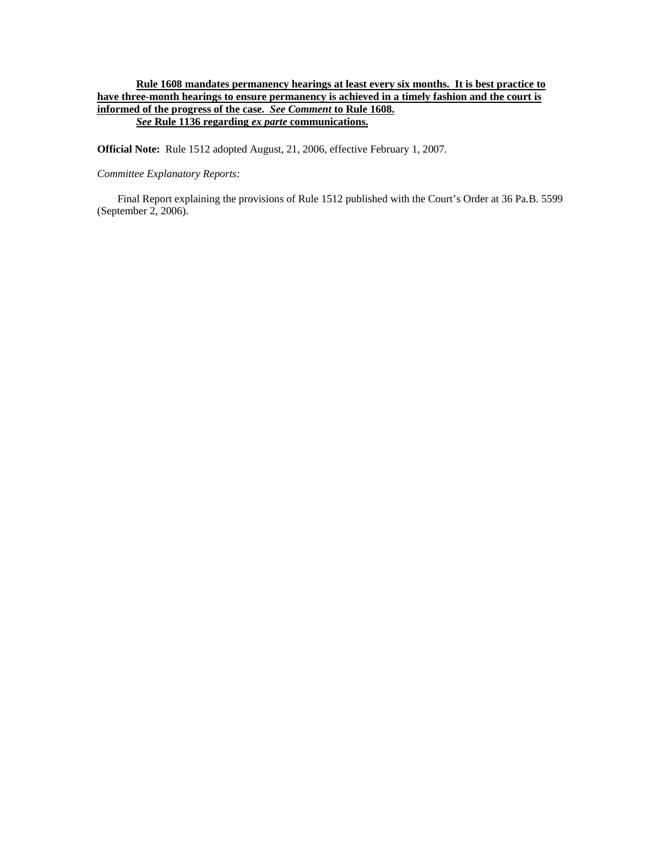#### **Rule 1608 mandates permanency hearings at least every six months. It is best practice to have three-month hearings to ensure permanency is achieved in a timely fashion and the court is informed of the progress of the case.** *See Comment* **to Rule 1608.** *See* **Rule 1136 regarding** *ex parte* **communications.**

**Official Note:** Rule 1512 adopted August, 21, 2006, effective February 1, 2007.

#### *Committee Explanatory Reports:*

Final Report explaining the provisions of Rule 1512 published with the Court's Order at 36 Pa.B. 5599 (September 2, 2006).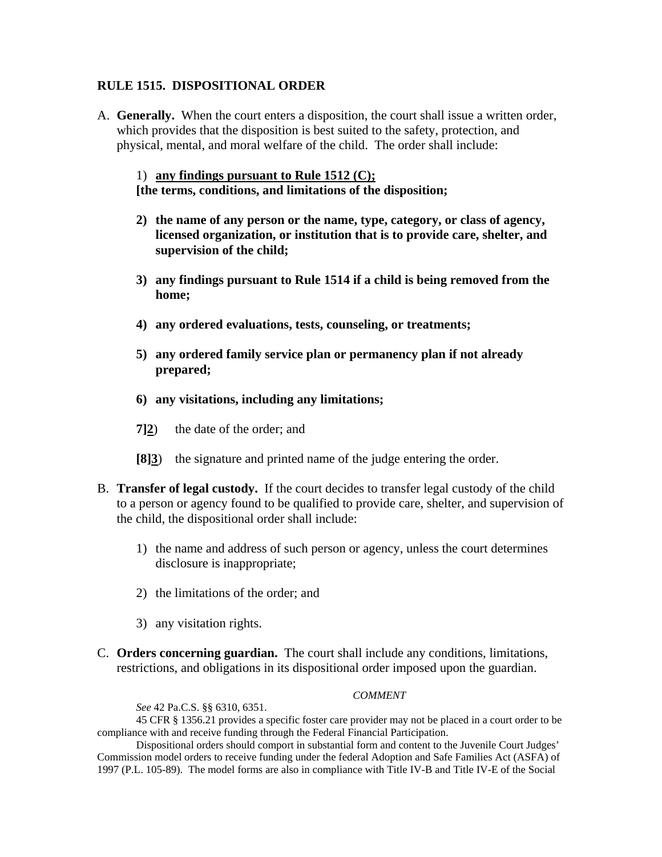#### **RULE 1515. DISPOSITIONAL ORDER**

A. **Generally.** When the court enters a disposition, the court shall issue a written order, which provides that the disposition is best suited to the safety, protection, and physical, mental, and moral welfare of the child. The order shall include:

1) **any findings pursuant to Rule 1512 (C); [the terms, conditions, and limitations of the disposition;** 

- **2) the name of any person or the name, type, category, or class of agency, licensed organization, or institution that is to provide care, shelter, and supervision of the child;**
- **3) any findings pursuant to Rule 1514 if a child is being removed from the home;**
- **4) any ordered evaluations, tests, counseling, or treatments;**
- **5) any ordered family service plan or permanency plan if not already prepared;**
- **6) any visitations, including any limitations;**
- **7]2**) the date of the order; and
- **[8]3**) the signature and printed name of the judge entering the order.
- B. **Transfer of legal custody.** If the court decides to transfer legal custody of the child to a person or agency found to be qualified to provide care, shelter, and supervision of the child, the dispositional order shall include:
	- 1) the name and address of such person or agency, unless the court determines disclosure is inappropriate;
	- 2) the limitations of the order; and
	- 3) any visitation rights.
- C. **Orders concerning guardian.** The court shall include any conditions, limitations, restrictions, and obligations in its dispositional order imposed upon the guardian.

#### *COMMENT*

*See* 42 Pa.C.S. §§ 6310, 6351.

45 CFR § 1356.21 provides a specific foster care provider may not be placed in a court order to be compliance with and receive funding through the Federal Financial Participation.

Dispositional orders should comport in substantial form and content to the Juvenile Court Judges' Commission model orders to receive funding under the federal Adoption and Safe Families Act (ASFA) of 1997 (P.L. 105-89). The model forms are also in compliance with Title IV-B and Title IV-E of the Social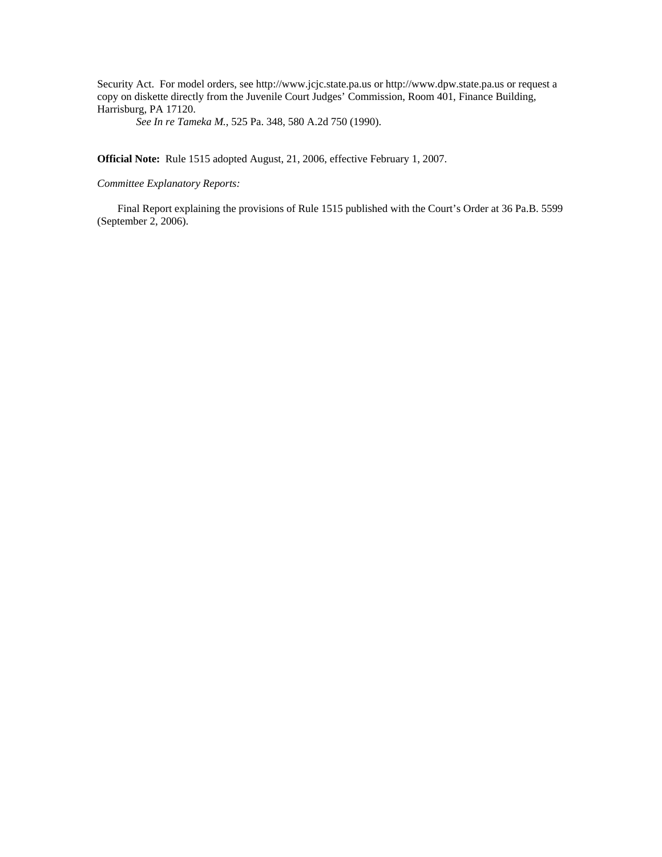Security Act. For model orders, see http://www.jcjc.state.pa.us or http://www.dpw.state.pa.us or request a copy on diskette directly from the Juvenile Court Judges' Commission, Room 401, Finance Building, Harrisburg, PA 17120.

*See In re Tameka M.*, 525 Pa. 348, 580 A.2d 750 (1990).

**Official Note:** Rule 1515 adopted August, 21, 2006, effective February 1, 2007.

*Committee Explanatory Reports:* 

Final Report explaining the provisions of Rule 1515 published with the Court's Order at 36 Pa.B. 5599 (September 2, 2006).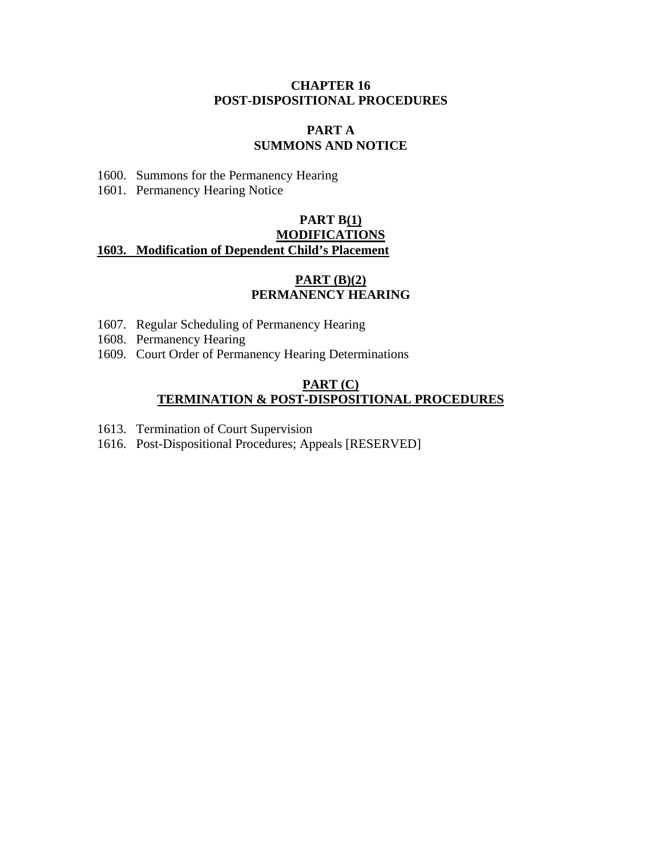#### **CHAPTER 16 POST-DISPOSITIONAL PROCEDURES**

#### **PART A SUMMONS AND NOTICE**

- 1600. Summons for the Permanency Hearing
- 1601. Permanency Hearing Notice

## **PART B(1) MODIFICATIONS 1603. Modification of Dependent Child's Placement**

#### **PART (B)(2) PERMANENCY HEARING**

- 1607. Regular Scheduling of Permanency Hearing
- 1608. Permanency Hearing
- 1609. Court Order of Permanency Hearing Determinations

#### **PART (C) TERMINATION & POST-DISPOSITIONAL PROCEDURES**

- 1613. Termination of Court Supervision
- 1616. Post-Dispositional Procedures; Appeals [RESERVED]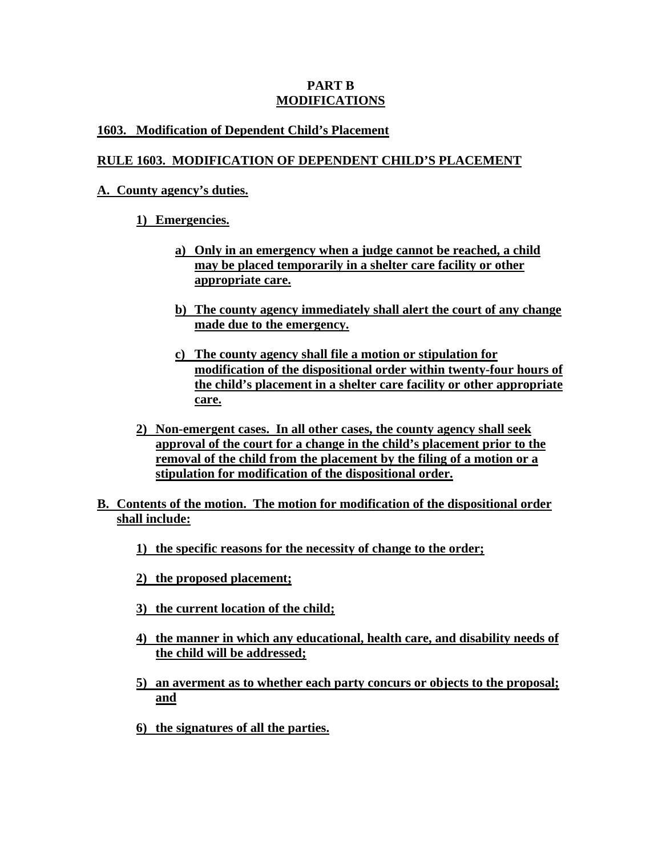## **PART B MODIFICATIONS**

# **1603. Modification of Dependent Child's Placement**

# **RULE 1603. MODIFICATION OF DEPENDENT CHILD'S PLACEMENT**

# **A. County agency's duties.**

# **1) Emergencies.**

- **a) Only in an emergency when a judge cannot be reached, a child may be placed temporarily in a shelter care facility or other appropriate care.**
- **b) The county agency immediately shall alert the court of any change made due to the emergency.**
- **c) The county agency shall file a motion or stipulation for modification of the dispositional order within twenty-four hours of the child's placement in a shelter care facility or other appropriate care.**
- **2) Non-emergent cases. In all other cases, the county agency shall seek approval of the court for a change in the child's placement prior to the removal of the child from the placement by the filing of a motion or a stipulation for modification of the dispositional order.**
- **B. Contents of the motion. The motion for modification of the dispositional order shall include:**
	- **1) the specific reasons for the necessity of change to the order;**
	- **2) the proposed placement;**
	- **3) the current location of the child;**
	- **4) the manner in which any educational, health care, and disability needs of the child will be addressed;**
	- **5) an averment as to whether each party concurs or objects to the proposal; and**
	- **6) the signatures of all the parties.**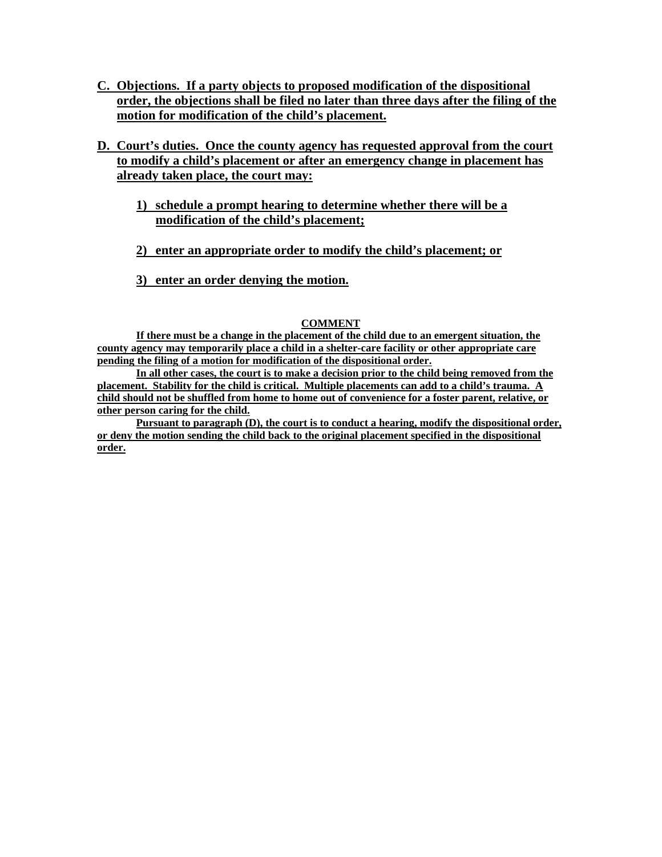- **C. Objections. If a party objects to proposed modification of the dispositional order, the objections shall be filed no later than three days after the filing of the motion for modification of the child's placement.**
- **D. Court's duties. Once the county agency has requested approval from the court to modify a child's placement or after an emergency change in placement has already taken place, the court may:**
	- **1) schedule a prompt hearing to determine whether there will be a modification of the child's placement;**
	- **2) enter an appropriate order to modify the child's placement; or**
	- **3) enter an order denying the motion.**

#### **COMMENT**

**If there must be a change in the placement of the child due to an emergent situation, the county agency may temporarily place a child in a shelter-care facility or other appropriate care pending the filing of a motion for modification of the dispositional order.** 

**In all other cases, the court is to make a decision prior to the child being removed from the placement. Stability for the child is critical. Multiple placements can add to a child's trauma. A child should not be shuffled from home to home out of convenience for a foster parent, relative, or other person caring for the child.** 

**Pursuant to paragraph (D), the court is to conduct a hearing, modify the dispositional order, or deny the motion sending the child back to the original placement specified in the dispositional order.**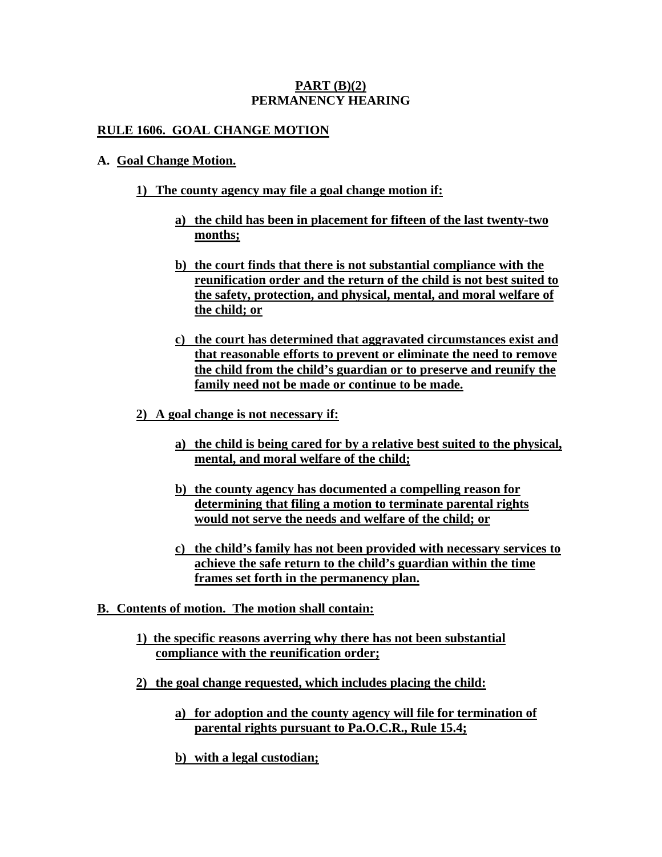### **PART (B)(2) PERMANENCY HEARING**

## **RULE 1606. GOAL CHANGE MOTION**

#### **A. Goal Change Motion.**

## **1) The county agency may file a goal change motion if:**

- **a) the child has been in placement for fifteen of the last twenty-two months;**
- **b) the court finds that there is not substantial compliance with the reunification order and the return of the child is not best suited to the safety, protection, and physical, mental, and moral welfare of the child; or**
- **c) the court has determined that aggravated circumstances exist and that reasonable efforts to prevent or eliminate the need to remove the child from the child's guardian or to preserve and reunify the family need not be made or continue to be made.**
- **2) A goal change is not necessary if:** 
	- **a) the child is being cared for by a relative best suited to the physical, mental, and moral welfare of the child;**
	- **b) the county agency has documented a compelling reason for determining that filing a motion to terminate parental rights would not serve the needs and welfare of the child; or**
	- **c) the child's family has not been provided with necessary services to achieve the safe return to the child's guardian within the time frames set forth in the permanency plan.**
- **B. Contents of motion. The motion shall contain:**
	- **1) the specific reasons averring why there has not been substantial compliance with the reunification order;**
	- **2) the goal change requested, which includes placing the child:**
		- **a) for adoption and the county agency will file for termination of parental rights pursuant to Pa.O.C.R., Rule 15.4;**
		- **b) with a legal custodian;**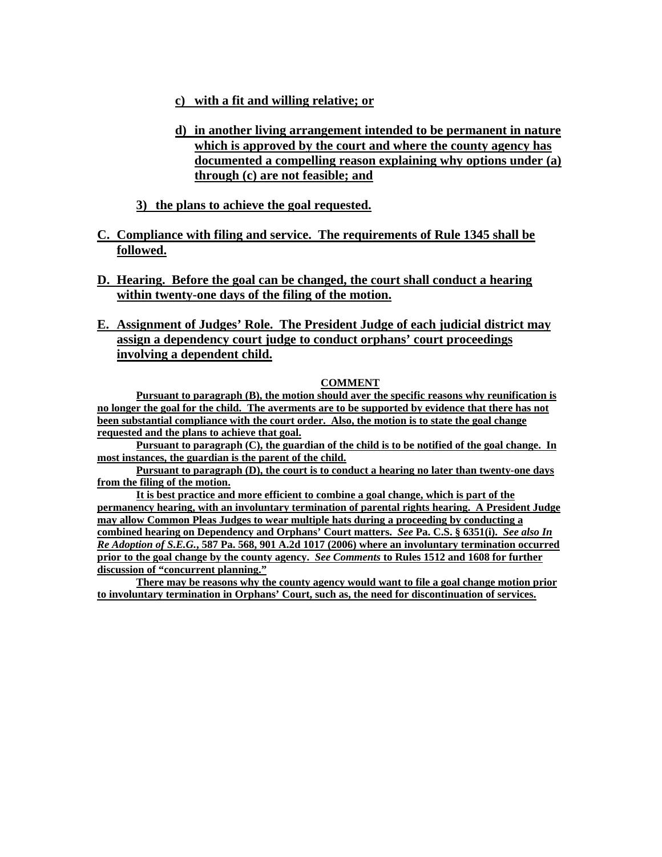#### **c) with a fit and willing relative; or**

- **d) in another living arrangement intended to be permanent in nature which is approved by the court and where the county agency has documented a compelling reason explaining why options under (a) through (c) are not feasible; and**
- **3) the plans to achieve the goal requested.**

## **C. Compliance with filing and service. The requirements of Rule 1345 shall be followed.**

- **D. Hearing. Before the goal can be changed, the court shall conduct a hearing within twenty-one days of the filing of the motion.**
- **E. Assignment of Judges' Role. The President Judge of each judicial district may assign a dependency court judge to conduct orphans' court proceedings involving a dependent child.**

#### **COMMENT**

**Pursuant to paragraph (B), the motion should aver the specific reasons why reunification is no longer the goal for the child. The averments are to be supported by evidence that there has not been substantial compliance with the court order. Also, the motion is to state the goal change requested and the plans to achieve that goal.**

**Pursuant to paragraph (C), the guardian of the child is to be notified of the goal change. In most instances, the guardian is the parent of the child.** 

**Pursuant to paragraph (D), the court is to conduct a hearing no later than twenty-one days from the filing of the motion.**

**It is best practice and more efficient to combine a goal change, which is part of the permanency hearing, with an involuntary termination of parental rights hearing. A President Judge may allow Common Pleas Judges to wear multiple hats during a proceeding by conducting a combined hearing on Dependency and Orphans' Court matters.** *See* **Pa. C.S. § 6351(i).** *See also In Re Adoption of S.E.G.***, 587 Pa. 568, 901 A.2d 1017 (2006) where an involuntary termination occurred prior to the goal change by the county agency.** *See Comments* **to Rules 1512 and 1608 for further discussion of "concurrent planning."** 

**There may be reasons why the county agency would want to file a goal change motion prior to involuntary termination in Orphans' Court, such as, the need for discontinuation of services.**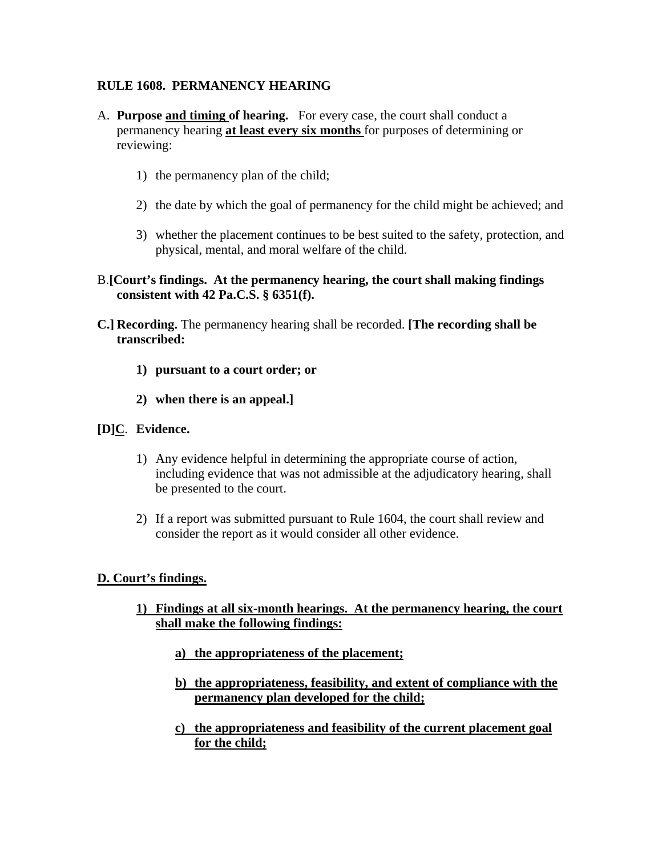# **RULE 1608. PERMANENCY HEARING**

- A. **Purpose and timing of hearing.** For every case, the court shall conduct a permanency hearing **at least every six months** for purposes of determining or reviewing:
	- 1) the permanency plan of the child;
	- 2) the date by which the goal of permanency for the child might be achieved; and
	- 3) whether the placement continues to be best suited to the safety, protection, and physical, mental, and moral welfare of the child.

#### B.**[Court's findings. At the permanency hearing, the court shall making findings consistent with 42 Pa.C.S. § 6351(f).**

- **C.] Recording.** The permanency hearing shall be recorded. **[The recording shall be transcribed:** 
	- **1) pursuant to a court order; or**
	- **2) when there is an appeal.]**

#### **[D]C**. **Evidence.**

- 1) Any evidence helpful in determining the appropriate course of action, including evidence that was not admissible at the adjudicatory hearing, shall be presented to the court.
- 2) If a report was submitted pursuant to Rule 1604, the court shall review and consider the report as it would consider all other evidence.

#### **D. Court's findings.**

- **1) Findings at all six-month hearings. At the permanency hearing, the court shall make the following findings:** 
	- **a) the appropriateness of the placement;**
	- **b) the appropriateness, feasibility, and extent of compliance with the permanency plan developed for the child;**
	- **c) the appropriateness and feasibility of the current placement goal for the child;**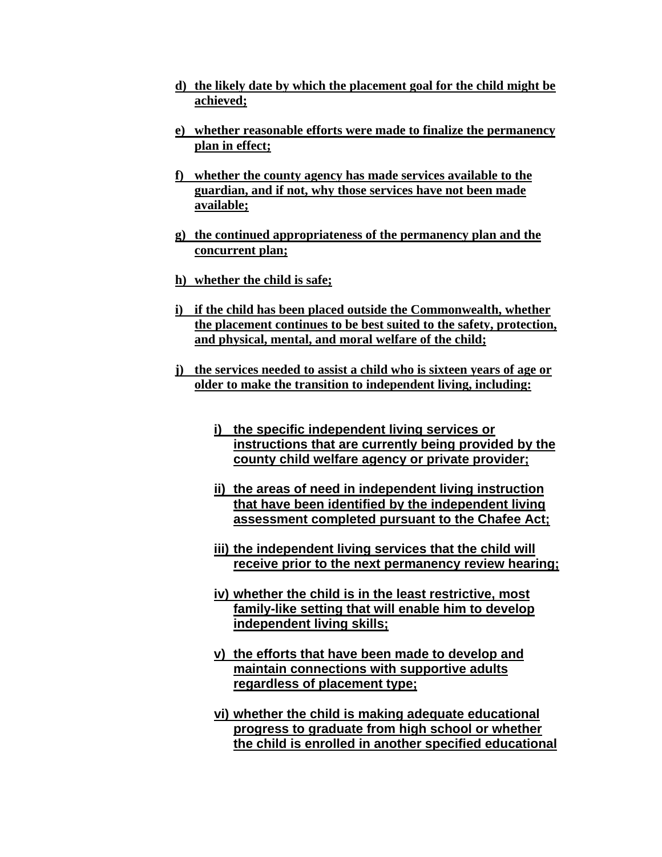- **d) the likely date by which the placement goal for the child might be achieved;**
- **e) whether reasonable efforts were made to finalize the permanency plan in effect;**
- **f) whether the county agency has made services available to the guardian, and if not, why those services have not been made available;**
- **g) the continued appropriateness of the permanency plan and the concurrent plan;**
- **h) whether the child is safe;**
- **i) if the child has been placed outside the Commonwealth, whether the placement continues to be best suited to the safety, protection, and physical, mental, and moral welfare of the child;**
- **j) the services needed to assist a child who is sixteen years of age or older to make the transition to independent living, including:**
	- **i) the specific independent living services or instructions that are currently being provided by the county child welfare agency or private provider;**
	- **ii) the areas of need in independent living instruction that have been identified by the independent living assessment completed pursuant to the Chafee Act;**
	- **iii) the independent living services that the child will receive prior to the next permanency review hearing;**
	- **iv) whether the child is in the least restrictive, most family-like setting that will enable him to develop independent living skills;**
	- **v) the efforts that have been made to develop and maintain connections with supportive adults regardless of placement type;**
	- **vi) whether the child is making adequate educational progress to graduate from high school or whether the child is enrolled in another specified educational**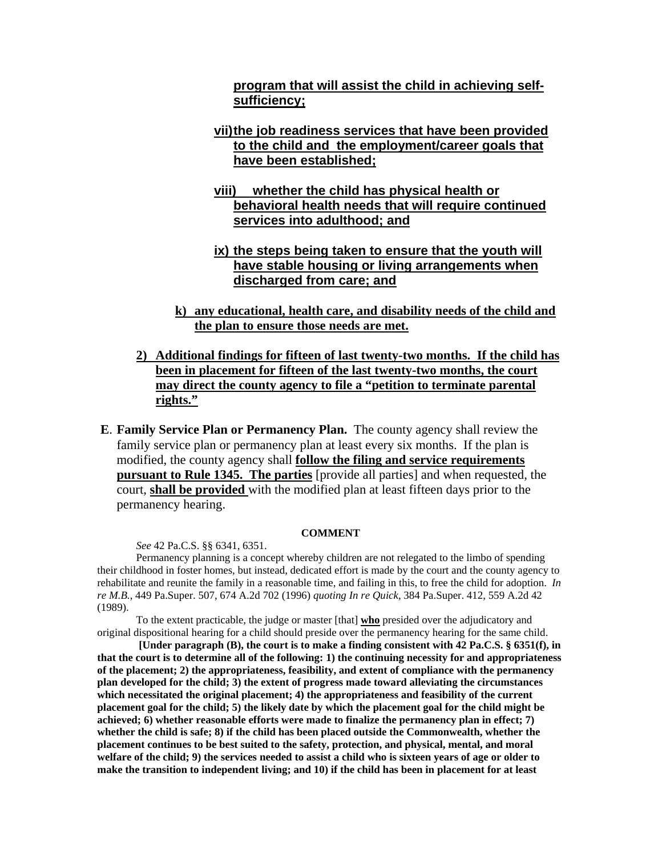**program that will assist the child in achieving selfsufficiency;** 

- **vii) the job readiness services that have been provided to the child and the employment/career goals that have been established;**
- **viii) whether the child has physical health or behavioral health needs that will require continued services into adulthood; and**
- **ix) the steps being taken to ensure that the youth will have stable housing or living arrangements when discharged from care; and**
- **k) any educational, health care, and disability needs of the child and the plan to ensure those needs are met.**
- **2) Additional findings for fifteen of last twenty-two months. If the child has been in placement for fifteen of the last twenty-two months, the court may direct the county agency to file a "petition to terminate parental rights."**
- **E**. **Family Service Plan or Permanency Plan.** The county agency shall review the family service plan or permanency plan at least every six months. If the plan is modified, the county agency shall **follow the filing and service requirements pursuant to Rule 1345. The parties** [provide all parties] and when requested, the court, **shall be provided** with the modified plan at least fifteen days prior to the permanency hearing.

#### **COMMENT**

*See* 42 Pa.C.S. §§ 6341, 6351.

 Permanency planning is a concept whereby children are not relegated to the limbo of spending their childhood in foster homes, but instead, dedicated effort is made by the court and the county agency to rehabilitate and reunite the family in a reasonable time, and failing in this, to free the child for adoption. *In re M.B.*, 449 Pa.Super. 507, 674 A.2d 702 (1996) *quoting In re Quick*, 384 Pa.Super. 412, 559 A.2d 42 (1989).

To the extent practicable, the judge or master [that] **who** presided over the adjudicatory and original dispositional hearing for a child should preside over the permanency hearing for the same child.

 **[Under paragraph (B), the court is to make a finding consistent with 42 Pa.C.S. § 6351(f), in that the court is to determine all of the following: 1) the continuing necessity for and appropriateness of the placement; 2) the appropriateness, feasibility, and extent of compliance with the permanency plan developed for the child; 3) the extent of progress made toward alleviating the circumstances which necessitated the original placement; 4) the appropriateness and feasibility of the current placement goal for the child; 5) the likely date by which the placement goal for the child might be achieved; 6) whether reasonable efforts were made to finalize the permanency plan in effect; 7) whether the child is safe; 8) if the child has been placed outside the Commonwealth, whether the placement continues to be best suited to the safety, protection, and physical, mental, and moral welfare of the child; 9) the services needed to assist a child who is sixteen years of age or older to make the transition to independent living; and 10) if the child has been in placement for at least**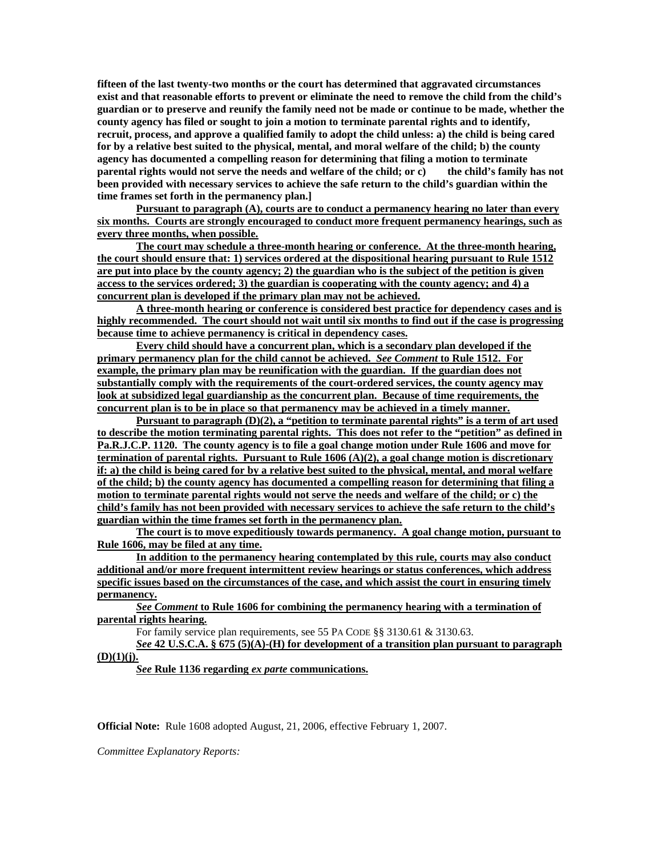**fifteen of the last twenty-two months or the court has determined that aggravated circumstances exist and that reasonable efforts to prevent or eliminate the need to remove the child from the child's guardian or to preserve and reunify the family need not be made or continue to be made, whether the county agency has filed or sought to join a motion to terminate parental rights and to identify, recruit, process, and approve a qualified family to adopt the child unless: a) the child is being cared for by a relative best suited to the physical, mental, and moral welfare of the child; b) the county agency has documented a compelling reason for determining that filing a motion to terminate parental rights would not serve the needs and welfare of the child; or c) the child's family has not been provided with necessary services to achieve the safe return to the child's guardian within the time frames set forth in the permanency plan.]** 

**Pursuant to paragraph (A), courts are to conduct a permanency hearing no later than every six months. Courts are strongly encouraged to conduct more frequent permanency hearings, such as every three months, when possible.** 

**The court may schedule a three-month hearing or conference. At the three-month hearing, the court should ensure that: 1) services ordered at the dispositional hearing pursuant to Rule 1512 are put into place by the county agency; 2) the guardian who is the subject of the petition is given access to the services ordered; 3) the guardian is cooperating with the county agency; and 4) a concurrent plan is developed if the primary plan may not be achieved.**

**A three-month hearing or conference is considered best practice for dependency cases and is highly recommended. The court should not wait until six months to find out if the case is progressing because time to achieve permanency is critical in dependency cases.**

**Every child should have a concurrent plan, which is a secondary plan developed if the primary permanency plan for the child cannot be achieved.** *See Comment* **to Rule 1512. For example, the primary plan may be reunification with the guardian. If the guardian does not substantially comply with the requirements of the court-ordered services, the county agency may look at subsidized legal guardianship as the concurrent plan. Because of time requirements, the concurrent plan is to be in place so that permanency may be achieved in a timely manner.**

**Pursuant to paragraph (D)(2), a "petition to terminate parental rights" is a term of art used to describe the motion terminating parental rights. This does not refer to the "petition" as defined in Pa.R.J.C.P. 1120. The county agency is to file a goal change motion under Rule 1606 and move for termination of parental rights. Pursuant to Rule 1606 (A)(2), a goal change motion is discretionary if: a) the child is being cared for by a relative best suited to the physical, mental, and moral welfare of the child; b) the county agency has documented a compelling reason for determining that filing a motion to terminate parental rights would not serve the needs and welfare of the child; or c) the child's family has not been provided with necessary services to achieve the safe return to the child's guardian within the time frames set forth in the permanency plan.**

**The court is to move expeditiously towards permanency. A goal change motion, pursuant to Rule 1606, may be filed at any time.**

**In addition to the permanency hearing contemplated by this rule, courts may also conduct additional and/or more frequent intermittent review hearings or status conferences, which address specific issues based on the circumstances of the case, and which assist the court in ensuring timely permanency.**

*See Comment* **to Rule 1606 for combining the permanency hearing with a termination of parental rights hearing.**

For family service plan requirements, see 55 PA CODE §§ 3130.61 & 3130.63.

*See* **42 U.S.C.A. § 675 (5)(A)-(H) for development of a transition plan pursuant to paragraph (D)(1)(j).** 

*See* **Rule 1136 regarding** *ex parte* **communications.**

**Official Note:** Rule 1608 adopted August, 21, 2006, effective February 1, 2007.

*Committee Explanatory Reports:*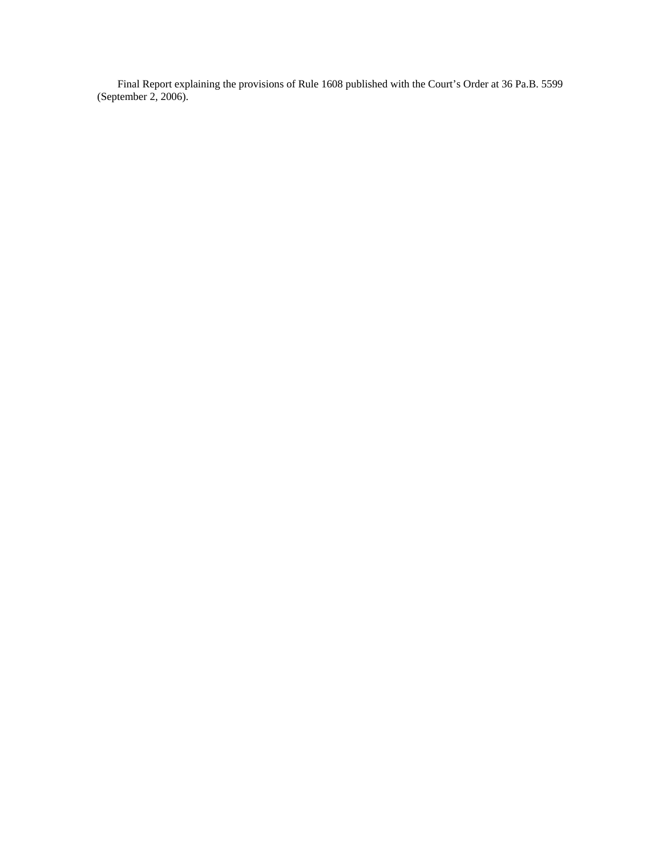Final Report explaining the provisions of Rule 1608 published with the Court's Order at 36 Pa.B. 5599 (September 2, 2006).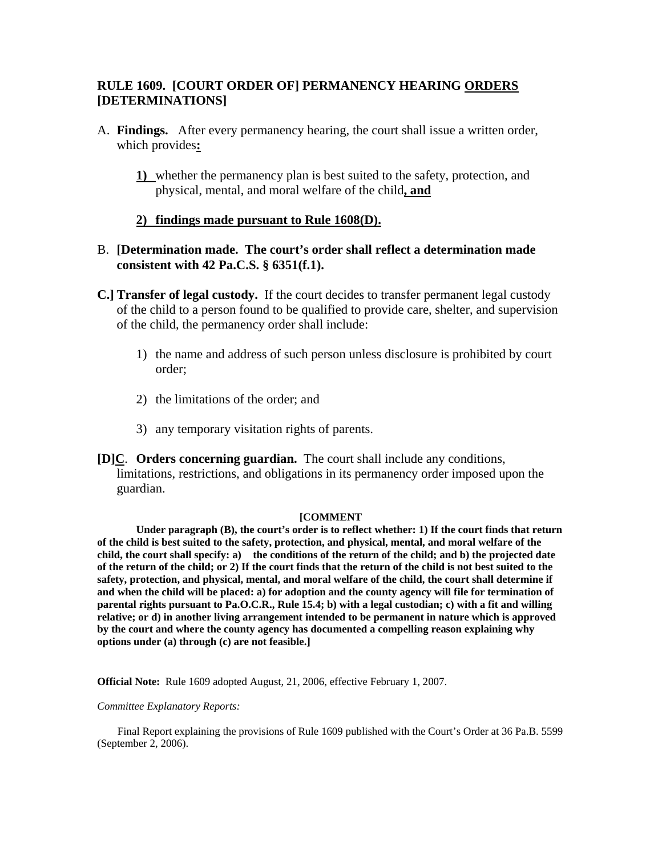## **RULE 1609. [COURT ORDER OF] PERMANENCY HEARING ORDERS [DETERMINATIONS]**

- A. **Findings.** After every permanency hearing, the court shall issue a written order, which provides**:** 
	- **1)** whether the permanency plan is best suited to the safety, protection, and physical, mental, and moral welfare of the child**, and**

#### **2) findings made pursuant to Rule 1608(D).**

## B. **[Determination made. The court's order shall reflect a determination made consistent with 42 Pa.C.S. § 6351(f.1).**

**C.] Transfer of legal custody.** If the court decides to transfer permanent legal custody of the child to a person found to be qualified to provide care, shelter, and supervision of the child, the permanency order shall include:

- 1) the name and address of such person unless disclosure is prohibited by court order;
- 2) the limitations of the order; and
- 3) any temporary visitation rights of parents.
- **[D]C**. **Orders concerning guardian.** The court shall include any conditions, limitations, restrictions, and obligations in its permanency order imposed upon the guardian.

#### **[COMMENT**

**Under paragraph (B), the court's order is to reflect whether: 1) If the court finds that return of the child is best suited to the safety, protection, and physical, mental, and moral welfare of the child, the court shall specify: a) the conditions of the return of the child; and b) the projected date of the return of the child; or 2) If the court finds that the return of the child is not best suited to the safety, protection, and physical, mental, and moral welfare of the child, the court shall determine if and when the child will be placed: a) for adoption and the county agency will file for termination of parental rights pursuant to Pa.O.C.R., Rule 15.4; b) with a legal custodian; c) with a fit and willing relative; or d) in another living arrangement intended to be permanent in nature which is approved by the court and where the county agency has documented a compelling reason explaining why options under (a) through (c) are not feasible.]** 

**Official Note:** Rule 1609 adopted August, 21, 2006, effective February 1, 2007.

#### *Committee Explanatory Reports:*

Final Report explaining the provisions of Rule 1609 published with the Court's Order at 36 Pa.B. 5599 (September 2, 2006).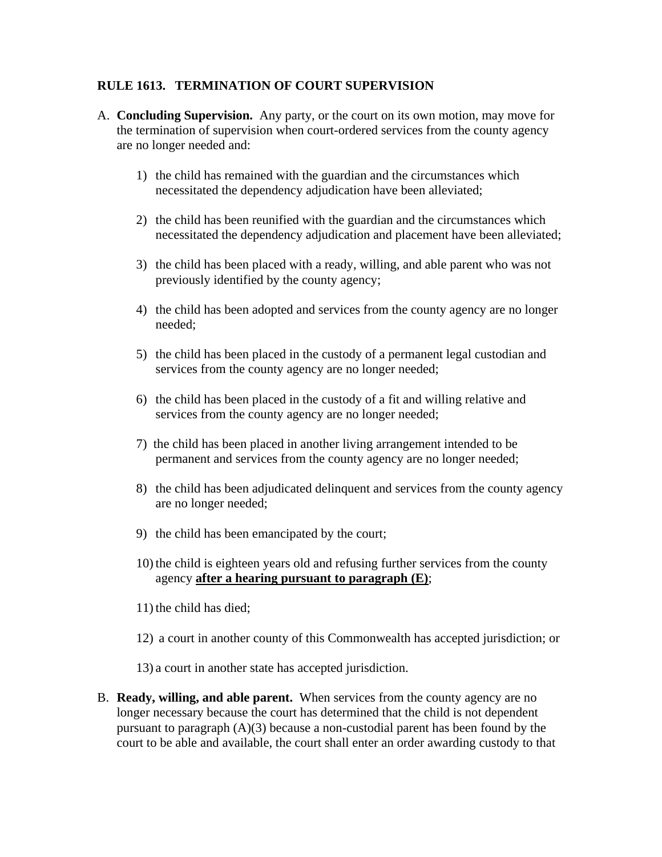## **RULE 1613. TERMINATION OF COURT SUPERVISION**

- A. **Concluding Supervision.** Any party, or the court on its own motion, may move for the termination of supervision when court-ordered services from the county agency are no longer needed and:
	- 1) the child has remained with the guardian and the circumstances which necessitated the dependency adjudication have been alleviated;
	- 2) the child has been reunified with the guardian and the circumstances which necessitated the dependency adjudication and placement have been alleviated;
	- 3) the child has been placed with a ready, willing, and able parent who was not previously identified by the county agency;
	- 4) the child has been adopted and services from the county agency are no longer needed;
	- 5) the child has been placed in the custody of a permanent legal custodian and services from the county agency are no longer needed;
	- 6) the child has been placed in the custody of a fit and willing relative and services from the county agency are no longer needed;
	- 7) the child has been placed in another living arrangement intended to be permanent and services from the county agency are no longer needed;
	- 8) the child has been adjudicated delinquent and services from the county agency are no longer needed;
	- 9) the child has been emancipated by the court;
	- 10) the child is eighteen years old and refusing further services from the county agency **after a hearing pursuant to paragraph (E)**;
	- 11) the child has died;
	- 12) a court in another county of this Commonwealth has accepted jurisdiction; or

13) a court in another state has accepted jurisdiction.

B. **Ready, willing, and able parent.** When services from the county agency are no longer necessary because the court has determined that the child is not dependent pursuant to paragraph  $(A)(3)$  because a non-custodial parent has been found by the court to be able and available, the court shall enter an order awarding custody to that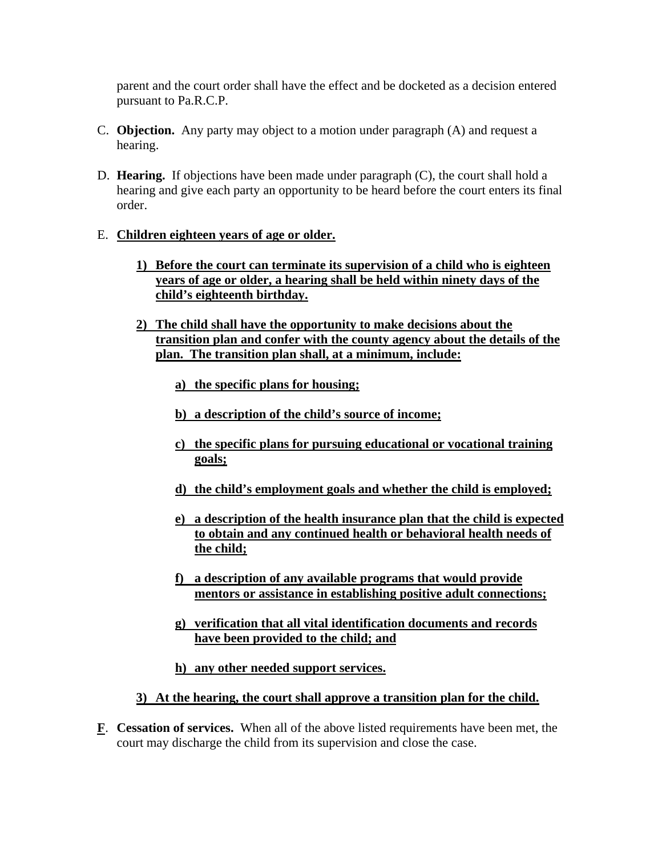parent and the court order shall have the effect and be docketed as a decision entered pursuant to Pa.R.C.P.

- C. **Objection.** Any party may object to a motion under paragraph (A) and request a hearing.
- D. **Hearing.** If objections have been made under paragraph (C), the court shall hold a hearing and give each party an opportunity to be heard before the court enters its final order.

# E. **Children eighteen years of age or older.**

- **1) Before the court can terminate its supervision of a child who is eighteen years of age or older, a hearing shall be held within ninety days of the child's eighteenth birthday.**
- **2) The child shall have the opportunity to make decisions about the transition plan and confer with the county agency about the details of the plan. The transition plan shall, at a minimum, include:**
	- **a) the specific plans for housing;**
	- **b) a description of the child's source of income;**
	- **c) the specific plans for pursuing educational or vocational training goals;**
	- **d) the child's employment goals and whether the child is employed;**
	- **e) a description of the health insurance plan that the child is expected to obtain and any continued health or behavioral health needs of the child;**
	- **f) a description of any available programs that would provide mentors or assistance in establishing positive adult connections;**
	- **g) verification that all vital identification documents and records have been provided to the child; and**
	- **h) any other needed support services.**

#### **3) At the hearing, the court shall approve a transition plan for the child.**

**F**. **Cessation of services.** When all of the above listed requirements have been met, the court may discharge the child from its supervision and close the case.